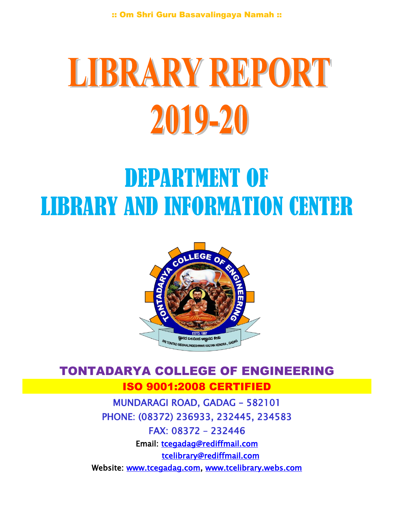# LIBRARY REPORT 2019-20

## DEPARTMENT OF LIBRARY AND INFORMATION CENTER



### TONTADARYA COLLEGE OF ENGINEERING ISO 9001:2008 CERTIFIED MUNDARAGI ROAD, GADAG – 582101 PHONE: (08372) 236933, 232445, 234583

FAX: 08372 – 232446 Email: [tcegadag@rediffmail.com](mailto:tcegadag@rediffmail.com)  [tcelibrary@rediffmail.com](mailto:tcelibrary@rediffmail.com)  Website: [www.tcegadag.com,](http://www.tcegadag.com/) [www.tcelibrary.webs.com](http://www.tcelibrary.webs.com/)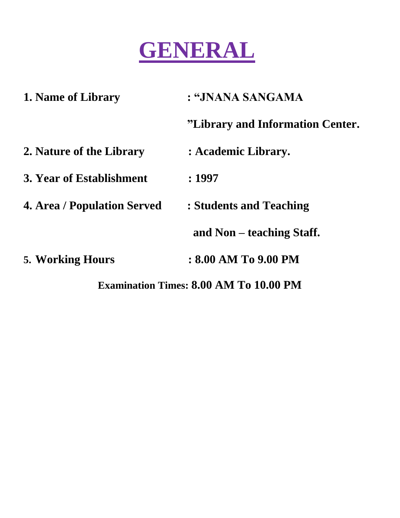

| 1. Name of Library                            | : "JNANA SANGAMA                 |  |  |
|-----------------------------------------------|----------------------------------|--|--|
|                                               | "Library and Information Center. |  |  |
| 2. Nature of the Library                      | : Academic Library.              |  |  |
| 3. Year of Establishment                      | :1997                            |  |  |
| <b>4. Area / Population Served</b>            | : Students and Teaching          |  |  |
|                                               | and Non – teaching Staff.        |  |  |
| <b>5. Working Hours</b>                       | : 8.00 AM To 9.00 PM             |  |  |
| <b>Examination Times: 8.00 AM To 10.00 PM</b> |                                  |  |  |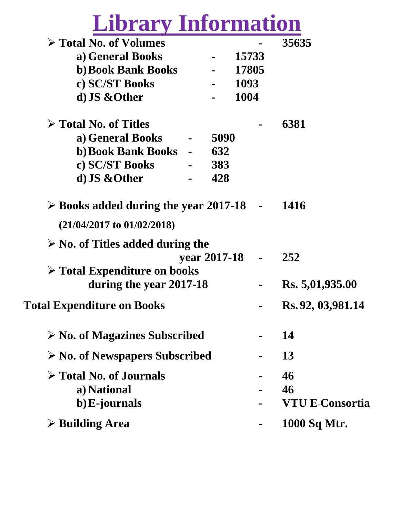# **Library Information**

| $\triangleright$ Total No. of Volumes                |              |        | 35635                  |
|------------------------------------------------------|--------------|--------|------------------------|
| a) General Books                                     |              | 15733  |                        |
| <b>b) Book Bank Books</b>                            |              | 17805  |                        |
| c) SC/ST Books                                       |              | 1093   |                        |
| d) JS & Other                                        |              | 1004   |                        |
| $\triangleright$ Total No. of Titles                 |              |        | 6381                   |
| a) General Books                                     | 5090         |        |                        |
| b) Book Bank Books -                                 | 632          |        |                        |
| c) SC/ST Books                                       | 383          |        |                        |
| d) JS & Other                                        | 428          |        |                        |
| $\triangleright$ Books added during the year 2017-18 |              | $\sim$ | <b>1416</b>            |
| $(21/04/2017$ to $01/02/2018)$                       |              |        |                        |
| $\triangleright$ No. of Titles added during the      |              |        |                        |
|                                                      | year 2017-18 |        | 252                    |
| $\triangleright$ Total Expenditure on books          |              |        |                        |
| during the year 2017-18                              |              |        | Rs. 5,01,935.00        |
| <b>Total Expenditure on Books</b>                    |              |        | Rs. 92, 03,981.14      |
| $\triangleright$ No. of Magazines Subscribed         |              |        | 14                     |
| $\triangleright$ No. of Newspapers Subscribed        |              |        | 13                     |
| $\triangleright$ Total No. of Journals               |              |        | 46                     |
| a) National                                          |              |        | 46                     |
| b) E-journals                                        |              |        | <b>VTU E-Consortia</b> |
|                                                      |              |        |                        |
| $\triangleright$ Building Area                       |              |        | 1000 Sq Mtr.           |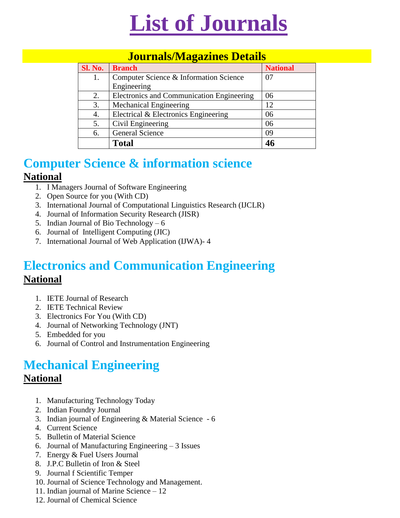

#### **Journals/Magazines Details**

| <b>Sl. No.</b> | <b>Branch</b>                             | <b>National</b> |  |
|----------------|-------------------------------------------|-----------------|--|
| 1.             | Computer Science & Information Science    |                 |  |
|                | Engineering                               |                 |  |
| 2.             | Electronics and Communication Engineering | 06              |  |
| 3.             | <b>Mechanical Engineering</b>             | 12              |  |
| 4.             | Electrical & Electronics Engineering      | 06              |  |
| 5.             | Civil Engineering                         | 06              |  |
| 6.             | General Science                           | 09              |  |
|                | <b>Total</b>                              | 46              |  |

#### **Computer Science & information science National**

- 1. I Managers Journal of Software Engineering
- 2. Open Source for you (With CD)
- 3. International Journal of Computational Linguistics Research (IJCLR)
- 4. Journal of Information Security Research (JISR)
- 5. Indian Journal of Bio Technology 6
- 6. Journal of Intelligent Computing (JIC)
- 7. International Journal of Web Application (IJWA)- 4

#### **Electronics and Communication Engineering National**

- 1. IETE Journal of Research
- 2. IETE Technical Review
- 3. Electronics For You (With CD)
- 4. Journal of Networking Technology (JNT)
- 5. Embedded for you
- 6. Journal of Control and Instrumentation Engineering

#### **Mechanical Engineering National**

- 1. Manufacturing Technology Today
- 2. Indian Foundry Journal
- 3. Indian journal of Engineering & Material Science 6
- 4. Current Science
- 5. Bulletin of Material Science
- 6. Journal of Manufacturing Engineering 3 Issues
- 7. Energy & Fuel Users Journal
- 8. J.P.C Bulletin of Iron & Steel
- 9. Journal f Scientific Temper
- 10. Journal of Science Technology and Management.
- 11. Indian journal of Marine Science 12
- 12. Journal of Chemical Science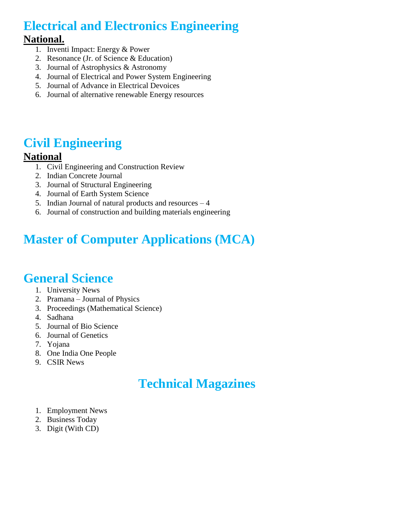### **Electrical and Electronics Engineering**

#### **National.**

- 1. Inventi Impact: Energy & Power
- 2. Resonance (Jr. of Science & Education)
- 3. Journal of Astrophysics & Astronomy
- 4. Journal of Electrical and Power System Engineering
- 5. Journal of Advance in Electrical Devoices
- 6. Journal of alternative renewable Energy resources

#### **Civil Engineering**

#### **National**

- 1. Civil Engineering and Construction Review
- 2. Indian Concrete Journal
- 3. Journal of Structural Engineering
- 4. Journal of Earth System Science
- 5. Indian Journal of natural products and resources 4
- 6. Journal of construction and building materials engineering

### **Master of Computer Applications (MCA)**

#### **General Science**

- 1. University News
- 2. Pramana Journal of Physics
- 3. Proceedings (Mathematical Science)
- 4. Sadhana
- 5. Journal of Bio Science
- 6. Journal of Genetics
- 7. Yojana
- 8. One India One People
- 9. CSIR News

### **Technical Magazines**

- 1. Employment News
- 2. Business Today
- 3. Digit (With CD)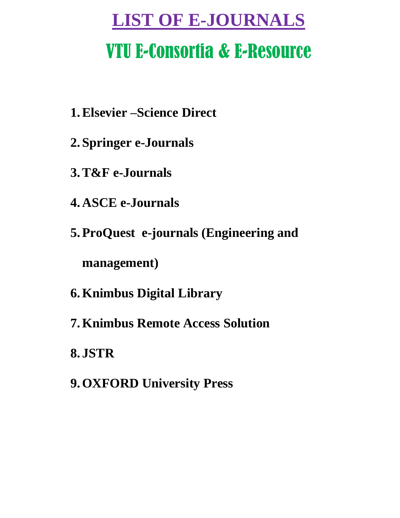### **LIST OF E-JOURNALS**

### VTU E-Consortia & E-Resource

- **1.Elsevier –Science Direct**
- **2. Springer e-Journals**
- **3.T&F e-Journals**
- **4. ASCE e-Journals**
- **5.ProQuest e-journals (Engineering and**

**management)**

- **6.Knimbus Digital Library**
- **7.Knimbus Remote Access Solution**
- **8. JSTR**
- **9.OXFORD University Press**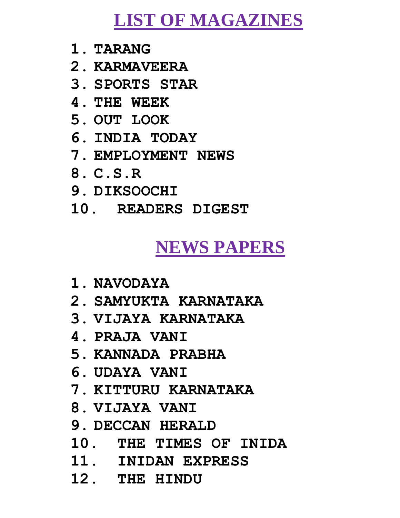### **LIST OF MAGAZINES**

- **1. TARANG**
- **2. KARMAVEERA**
- **3. SPORTS STAR**
- **4. THE WEEK**
- **5. OUT LOOK**
- **6. INDIA TODAY**
- **7. EMPLOYMENT NEWS**
- **8. C.S.R**
- **9. DIKSOOCHI**
- **10. READERS DIGEST**

### **NEWS PAPERS**

- **1. NAVODAYA**
- **2. SAMYUKTA KARNATAKA**
- **3. VIJAYA KARNATAKA**
- **4. PRAJA VANI**
- **5. KANNADA PRABHA**
- **6. UDAYA VANI**
- **7. KITTURU KARNATAKA**
- **8. VIJAYA VANI**
- **9. DECCAN HERALD**
- **10. THE TIMES OF INIDA**
- **11. INIDAN EXPRESS**
- **12. THE HINDU**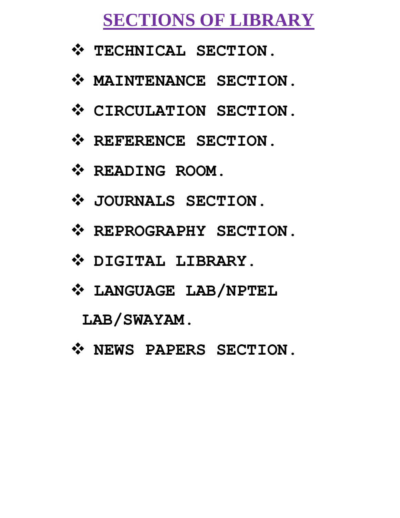### **SECTIONS OF LIBRARY**

- $\mathbf{\hat{y}}$  TECHNICAL SECTION.
- **MAINTENANCE SECTION.**
- **CIRCULATION SECTION.**
- $\mathbf{\hat{P}}$  REFERENCE SECTION.
- **READING ROOM.**
- **JOURNALS SECTION.**
- $\mathbf{\hat{P}}$  REPROGRAPHY SECTION.
- **DIGITAL LIBRARY.**
- **LANGUAGE LAB/NPTEL**

**LAB/SWAYAM.**

 $\mathbf{\hat{y}}$  NEWS PAPERS SECTION.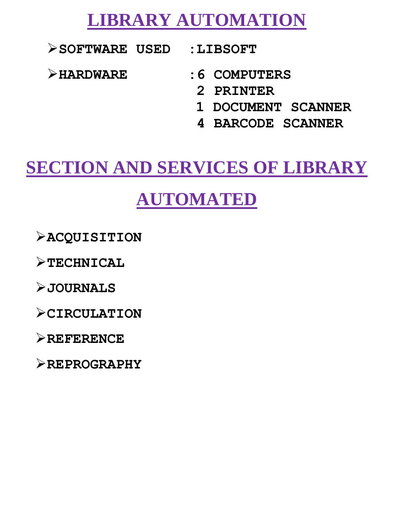### **LIBRARY AUTOMATION**

**SOFTWARE USED :LIBSOFT**

- **HARDWARE :6 COMPUTERS**
	- **2 PRINTER**
	- **1 DOCUMENT SCANNER**
	- **4 BARCODE SCANNER**

### **SECTION AND SERVICES OF LIBRARY**

### **AUTOMATED**

**ACQUISITION**

**TECHNICAL**

**JOURNALS**

**CIRCULATION**

**REFERENCE**

**REPROGRAPHY**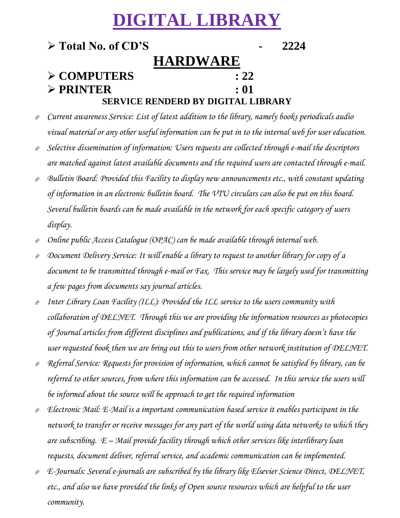### **DIGITAL LIBRARY**

#### **Total No. of CD'S - 2224 HARDWARE COMPUTERS : 22 PRINTER : 01 SERVICE RENDERD BY DIGITAL LIBRARY**

- *Current awareness Service: List of latest addition to the library, namely books periodicals audio visual material or any other useful information can be put in to the internal web for user education.*
- *Selective dissemination of information: Users requests are collected through e-mail the descriptors are matched against latest available documents and the required users are contacted through e-mail.*
- *Bulletin Board: Provided this Facility to display new announcements etc., with constant updating of information in an electronic bulletin board. The VTU circulars can also be put on this board. Several bulletin boards can be made available in the network for each specific category of users display.*
- *Online public Access Catalogue (OPAC) can be made available through internal web.*
- *Document Delivery Service: It will enable a library to request to another library for copy of a document to be transmitted through e-mail or Fax. This service may be largely used for transmitting a few pages from documents say journal articles.*
- *Inter Library Loan Facility (ILL): Provided the ILL service to the users community with collaboration of DELNET. Through this we are providing the information resources as photocopies of Journal articles from different disciplines and publications, and if the library doesn't have the user requested book then we are bring out this to users from other network institution of DELNET.*
- *Referral Service: Requests for provision of information, which cannot be satisfied by library, can be referred to other sources, from where this information can be accessed. In this service the users will be informed about the source will be approach to get the required information*
- *Electronic Mail: E-Mail is a important communication based service it enables participant in the network to transfer or receive messages for any part of the world using data networks to which they are subscribing. E – Mail provide facility through which other services like interlibrary loan requests, document deliver, referral service, and academic communication can be implemented.*
- *E-Journals: Several e-journals are subscribed by the library like Elsevier Science Direct, DELNET, etc., and also we have provided the links of Open source resources which are helpful to the user community.*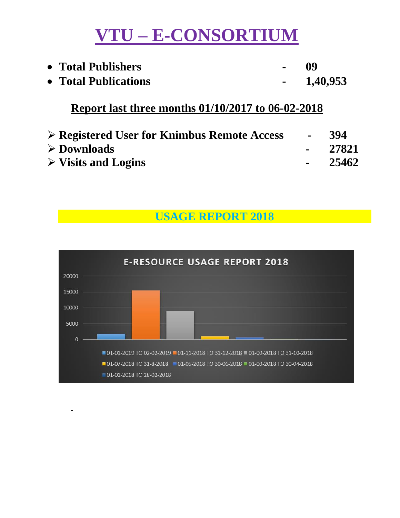### **VTU – E-CONSORTIUM**

| • Total Publishers   | $-$ 09 |          |
|----------------------|--------|----------|
| • Total Publications |        | 1,40,953 |

#### **Report last three months 01/10/2017 to 06-02-2018**

| $\triangleright$ Registered User for Knimbus Remote Access | <b>Contract Contract</b> | 394      |
|------------------------------------------------------------|--------------------------|----------|
| $\triangleright$ Downloads                                 |                          | $-27821$ |
| $\triangleright$ Visits and Logins                         |                          | - 25462  |

**USAGE REPORT 2018**



-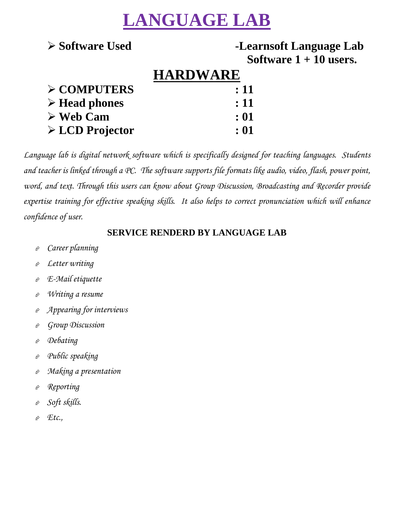### **LANGUAGE LAB**

#### **Software Used -Learnsoft Language Lab Software 1 + 10 users.**

### **HARDWARE**

| $\div 11$ |
|-----------|
| $\div 11$ |
| $\div 01$ |
| : 01      |
|           |

*Language lab is digital network software which is specifically designed for teaching languages. Students and teacher is linked through a PC. The software supports file formats like audio, video, flash, power point, word, and text. Through this users can know about Group Discussion, Broadcasting and Recorder provide expertise training for effective speaking skills. It also helps to correct pronunciation which will enhance confidence of user.* 

#### **SERVICE RENDERD BY LANGUAGE LAB**

- *Career planning*
- *Letter writing*
- *E-Mail etiquette*
- *Writing a resume*
- *Appearing for interviews*
- *Group Discussion*
- *Debating*
- *Public speaking*
- *Making a presentation*
- *Reporting*
- *Soft skills.*
- *Etc.,*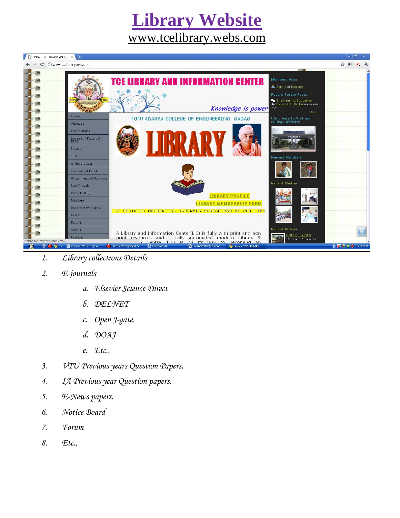### **Library Website**  [www.tcelibrary.webs.com](http://www.tcelibrary.webs.com/)



- *1. Library collections Details*
- *2. E-journals* 
	- *a. Elsevier Science Direct*
	- *b. DELNET*
	- *c. Open J-gate.*
	- *d. DOAJ*
	- *e. Etc.,*
- *3. VTU Previous years Question Papers.*
- *4. IA Previous year Question papers.*
- *5. E-News papers.*
- *6. Notice Board*
- *7. Forum*
- *8. Etc.,*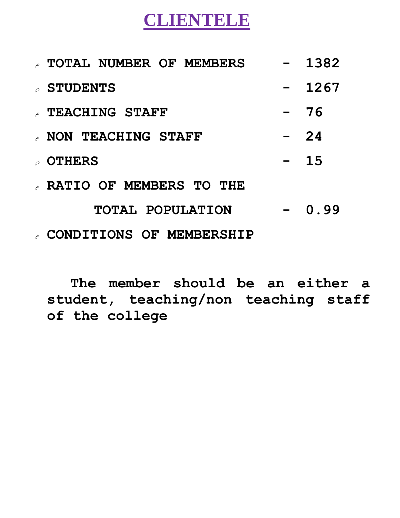### **CLIENTELE**

| # TOTAL NUMBER OF MEMBERS   |                  | 1382  |
|-----------------------------|------------------|-------|
| ◇ STUDENTS                  |                  | 1267  |
| <b>A TEACHING STAFF</b>     |                  | 76    |
| <b>A NON TEACHING STAFF</b> | $\sim$ 100 $\mu$ | 24    |
| ☆ OTHERS                    |                  | $-15$ |
| » RATIO OF MEMBERS TO THE   |                  |       |
| TOTAL POPULATION            |                  | 0.99  |
|                             |                  |       |

**CONDITIONS OF MEMBERSHIP**

**The member should be an either a student, teaching/non teaching staff of the college**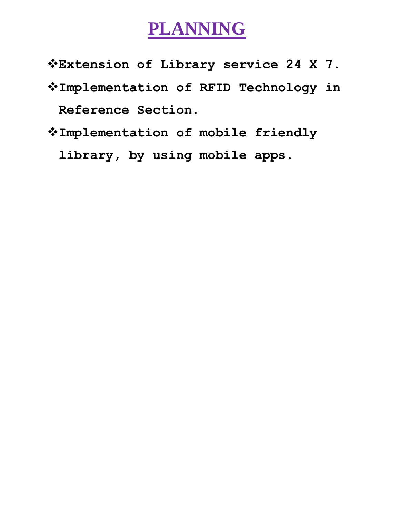### **PLANNING**

**Extension of Library service 24 X 7.**

- **Implementation of RFID Technology in Reference Section.**
- **Implementation of mobile friendly**

**library, by using mobile apps.**